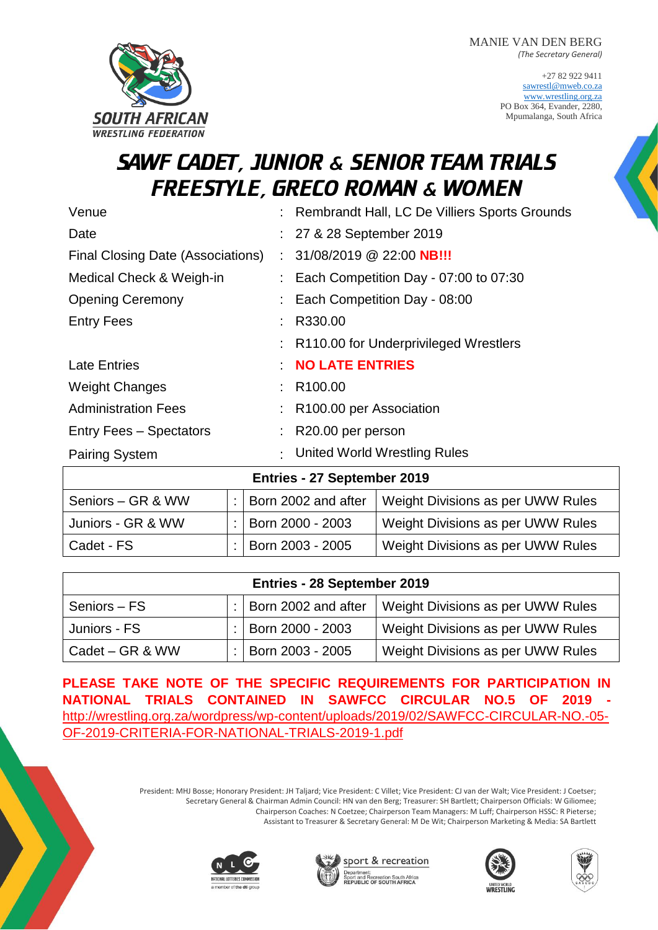+27 82 922 9411 [sawrestl@mweb.co.za](mailto:sawrestl@mweb.co.za) [www.wrestling.org.za](http://www.wrestling.org.za/) PO Box 364, Evander, 2280, Mpumalanga, South Africa

# SAWF CADET, JUNIOR & SENIOR TEAM TRIALS FREESTYLE, GRECO ROMAN & WOMEN

**SOUTH AFRICAN WRESTLING FEDERATION** 

| Venue                              |  | : Rembrandt Hall, LC De Villiers Sports Grounds    |  |  |  |  |  |
|------------------------------------|--|----------------------------------------------------|--|--|--|--|--|
| Date                               |  | : 27 & 28 September 2019                           |  |  |  |  |  |
| Final Closing Date (Associations)  |  | $: 31/08/2019 \ @ 22:00 \ \text{NB}$               |  |  |  |  |  |
| Medical Check & Weigh-in           |  | $\therefore$ Each Competition Day - 07:00 to 07:30 |  |  |  |  |  |
| <b>Opening Ceremony</b>            |  | Each Competition Day - 08:00                       |  |  |  |  |  |
| <b>Entry Fees</b>                  |  | R330.00                                            |  |  |  |  |  |
|                                    |  | R110.00 for Underprivileged Wrestlers              |  |  |  |  |  |
| <b>Late Entries</b>                |  | <b>NO LATE ENTRIES</b>                             |  |  |  |  |  |
| <b>Weight Changes</b>              |  | R <sub>100.00</sub>                                |  |  |  |  |  |
| <b>Administration Fees</b>         |  | R <sub>100.00</sub> per Association                |  |  |  |  |  |
| <b>Entry Fees - Spectators</b>     |  | R20.00 per person                                  |  |  |  |  |  |
| <b>Pairing System</b>              |  | United World Wrestling Rules                       |  |  |  |  |  |
| <b>Entries - 27 September 2019</b> |  |                                                    |  |  |  |  |  |

| ETRICS ET OUDWINDER EURO |  |                               |                                   |  |  |  |
|--------------------------|--|-------------------------------|-----------------------------------|--|--|--|
| Seniors – GR & WW        |  | : $\vert$ Born 2002 and after | Weight Divisions as per UWW Rules |  |  |  |
| Juniors - GR & WW        |  | :   Born 2000 - 2003          | Weight Divisions as per UWW Rules |  |  |  |
| l Cadet - FS             |  | :   Born 2003 - 2005          | Weight Divisions as per UWW Rules |  |  |  |

| Entries - 28 September 2019 |  |                         |                                   |  |  |  |
|-----------------------------|--|-------------------------|-----------------------------------|--|--|--|
| Seniors - FS                |  | $:$ Born 2002 and after | Weight Divisions as per UWW Rules |  |  |  |
| Juniors - FS                |  | :   Born 2000 - 2003    | Weight Divisions as per UWW Rules |  |  |  |
| Cadet – GR & WW             |  | :   Born 2003 - 2005    | Weight Divisions as per UWW Rules |  |  |  |

**PLEASE TAKE NOTE OF THE SPECIFIC REQUIREMENTS FOR PARTICIPATION IN NATIONAL TRIALS CONTAINED IN SAWFCC CIRCULAR NO.5 OF 2019**  [http://wrestling.org.za/wordpress/wp-content/uploads/2019/02/SAWFCC-CIRCULAR-NO.-05-](http://wrestling.org.za/wordpress/wp-content/uploads/2019/02/SAWFCC-CIRCULAR-NO.-05-OF-2019-CRITERIA-FOR-NATIONAL-TRIALS-2019-1.pdf) [OF-2019-CRITERIA-FOR-NATIONAL-TRIALS-2019-1.pdf](http://wrestling.org.za/wordpress/wp-content/uploads/2019/02/SAWFCC-CIRCULAR-NO.-05-OF-2019-CRITERIA-FOR-NATIONAL-TRIALS-2019-1.pdf)

> President: MHJ Bosse; Honorary President: JH Taljard; Vice President: C Villet; Vice President: CJ van der Walt; Vice President: J Coetser; Secretary General & Chairman Admin Council: HN van den Berg; Treasurer: SH Bartlett; Chairperson Officials: W Giliomee; Chairperson Coaches: N Coetzee; Chairperson Team Managers: M Luff; Chairperson HSSC: R Pieterse; Assistant to Treasurer & Secretary General: M De Wit; Chairperson Marketing & Media: SA Bartlett







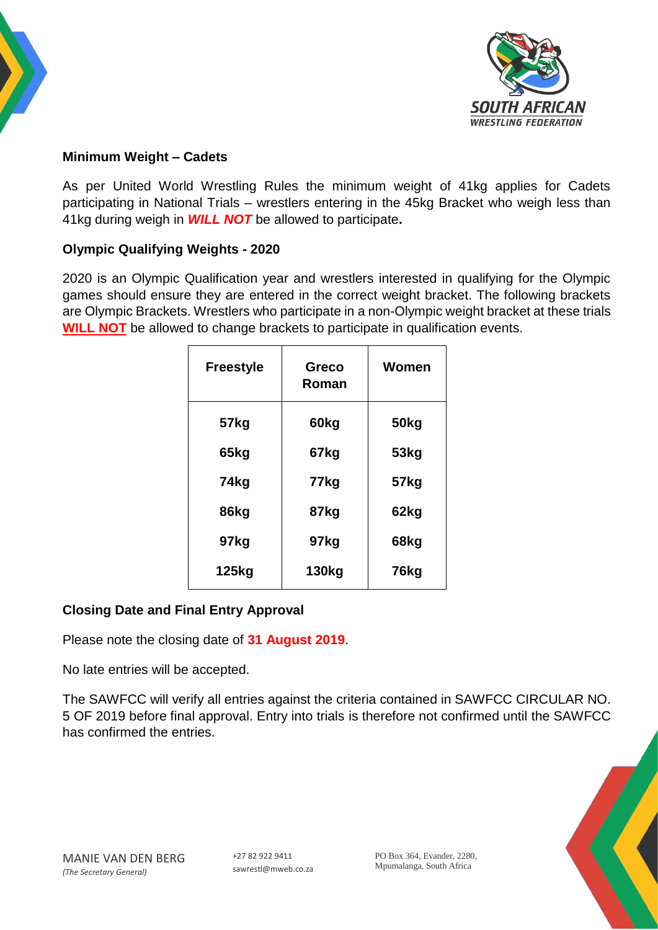



# **Minimum Weight – Cadets**

As per United World Wrestling Rules the minimum weight of 41kg applies for Cadets participating in National Trials – wrestlers entering in the 45kg Bracket who weigh less than 41kg during weigh in *WILL NOT* be allowed to participate**.**

## **Olympic Qualifying Weights - 2020**

2020 is an Olympic Qualification year and wrestlers interested in qualifying for the Olympic games should ensure they are entered in the correct weight bracket. The following brackets are Olympic Brackets. Wrestlers who participate in a non-Olympic weight bracket at these trials **WILL NOT** be allowed to change brackets to participate in qualification events.

| <b>Freestyle</b> | <b>Greco</b><br>Roman | Women |
|------------------|-----------------------|-------|
| 57kg             | 60kg                  | 50kg  |
| 65kg             | 67kg                  | 53kg  |
| 74kg             | 77kg                  | 57kg  |
| 86kg             | 87kg                  | 62kg  |
| 97kg             | 97kg                  | 68kg  |
| 125kg            | 130kg                 | 76kg  |

# **Closing Date and Final Entry Approval**

Please note the closing date of **31 August 2019**.

No late entries will be accepted.

The SAWFCC will verify all entries against the criteria contained in SAWFCC CIRCULAR NO. 5 OF 2019 before final approval. Entry into trials is therefore not confirmed until the SAWFCC has confirmed the entries.

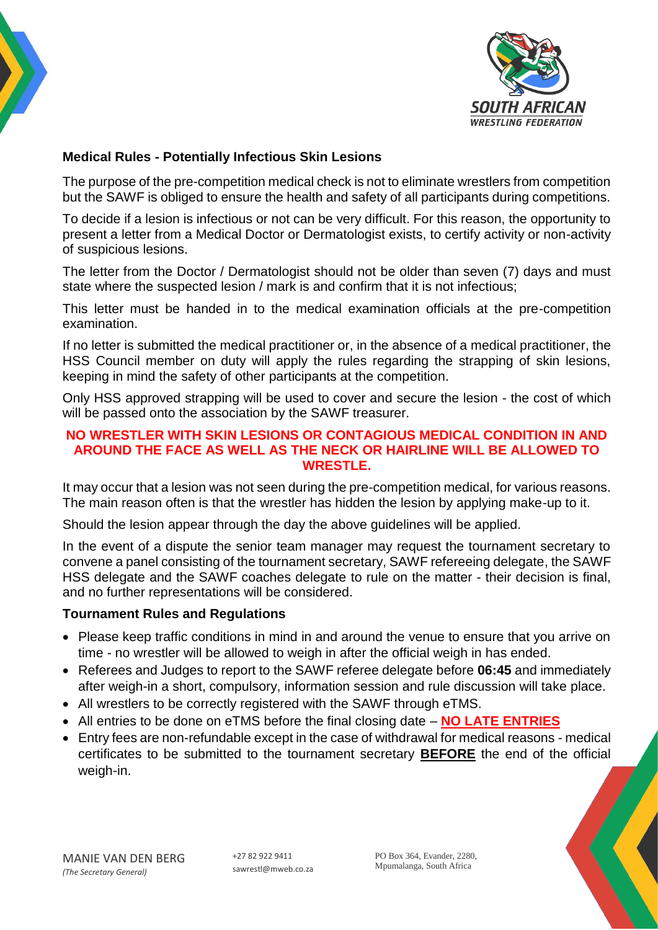



## **Medical Rules - Potentially Infectious Skin Lesions**

The purpose of the pre-competition medical check is not to eliminate wrestlers from competition but the SAWF is obliged to ensure the health and safety of all participants during competitions.

To decide if a lesion is infectious or not can be very difficult. For this reason, the opportunity to present a letter from a Medical Doctor or Dermatologist exists, to certify activity or non-activity of suspicious lesions.

The letter from the Doctor / Dermatologist should not be older than seven (7) days and must state where the suspected lesion / mark is and confirm that it is not infectious;

This letter must be handed in to the medical examination officials at the pre-competition examination.

If no letter is submitted the medical practitioner or, in the absence of a medical practitioner, the HSS Council member on duty will apply the rules regarding the strapping of skin lesions, keeping in mind the safety of other participants at the competition.

Only HSS approved strapping will be used to cover and secure the lesion - the cost of which will be passed onto the association by the SAWF treasurer.

#### **NO WRESTLER WITH SKIN LESIONS OR CONTAGIOUS MEDICAL CONDITION IN AND AROUND THE FACE AS WELL AS THE NECK OR HAIRLINE WILL BE ALLOWED TO WRESTLE.**

It may occur that a lesion was not seen during the pre-competition medical, for various reasons. The main reason often is that the wrestler has hidden the lesion by applying make-up to it.

Should the lesion appear through the day the above guidelines will be applied.

In the event of a dispute the senior team manager may request the tournament secretary to convene a panel consisting of the tournament secretary, SAWF refereeing delegate, the SAWF HSS delegate and the SAWF coaches delegate to rule on the matter - their decision is final, and no further representations will be considered.

#### **Tournament Rules and Regulations**

- Please keep traffic conditions in mind in and around the venue to ensure that you arrive on time - no wrestler will be allowed to weigh in after the official weigh in has ended.
- Referees and Judges to report to the SAWF referee delegate before **06:45** and immediately after weigh-in a short, compulsory, information session and rule discussion will take place.
- All wrestlers to be correctly registered with the SAWF through eTMS.
- All entries to be done on eTMS before the final closing date **NO LATE ENTRIES**
- Entry fees are non-refundable except in the case of withdrawal for medical reasons medical certificates to be submitted to the tournament secretary **BEFORE** the end of the official weigh-in.

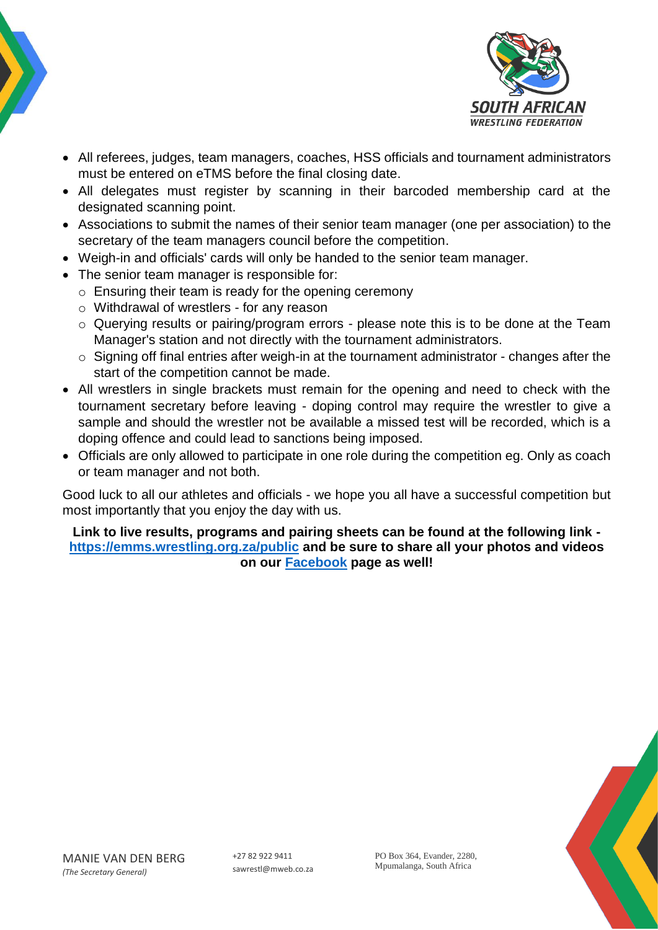



- All referees, judges, team managers, coaches, HSS officials and tournament administrators must be entered on eTMS before the final closing date.
- All delegates must register by scanning in their barcoded membership card at the designated scanning point.
- Associations to submit the names of their senior team manager (one per association) to the secretary of the team managers council before the competition.
- Weigh-in and officials' cards will only be handed to the senior team manager.
- The senior team manager is responsible for:
	- o Ensuring their team is ready for the opening ceremony
	- o Withdrawal of wrestlers for any reason
	- o Querying results or pairing/program errors please note this is to be done at the Team Manager's station and not directly with the tournament administrators.
	- o Signing off final entries after weigh-in at the tournament administrator changes after the start of the competition cannot be made.
- All wrestlers in single brackets must remain for the opening and need to check with the tournament secretary before leaving - doping control may require the wrestler to give a sample and should the wrestler not be available a missed test will be recorded, which is a doping offence and could lead to sanctions being imposed.
- Officials are only allowed to participate in one role during the competition eg. Only as coach or team manager and not both.

Good luck to all our athletes and officials - we hope you all have a successful competition but most importantly that you enjoy the day with us.

**Link to live results, programs and pairing sheets can be found at the following link <https://emms.wrestling.org.za/public> and be sure to share all your photos and videos on our [Facebook](https://www.facebook.com/WrestingSA/) page as well!**